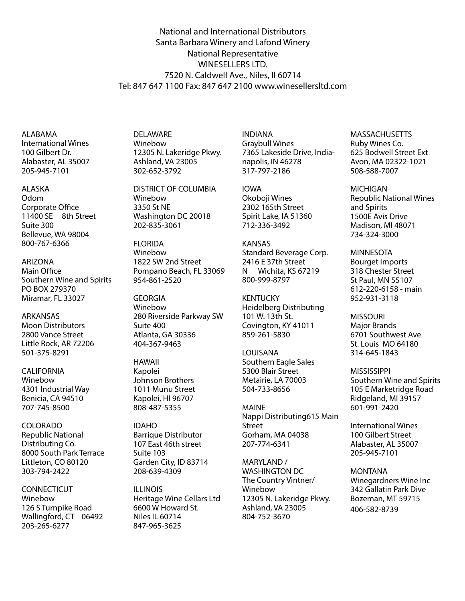National and International Distributors Santa Barbara Winery and Lafond Winery National Representative WINESELLERS LTD. 7520 N. Caldwell Ave., Niles, Il 60714 Tel: 847 647 1100 Fax: 847 647 2100 www.winesellersltd.com

ALABAMA International Wines 100 Gilbert Dr. Alabaster, AL 35007 205-945-7101

ALASKA Odom Corporate Office 11400 SE 8th Street Suite 300 Bellevue, WA 98004 800-767-6366

ARIZONA Main Office Southern Wine and Spirits PO BOX 279370 Miramar, FL 33027

ARKANSAS Moon Distributors 2800 Vance Street Little Rock, AR 72206 501-375-8291

CALIFORNIA Winebow 4301 Industrial Way Benicia, CA 94510 707-745-8500

COLORADO Republic National Distributing Co. 8000 South Park Terrace Littleton, CO 80120 303-794-2422

**CONNECTICUT** Winebow 126 S Turnpike Road Wallingford, CT 06492 203-265-6277

DELAWARE Winebow 12305 N. Lakeridge Pkwy. Ashland, VA 23005 302-652-3792

DISTRICT OF COLUMBIA Winebow 3350 St NE Washington DC 20018 202-835-3061

**FLORIDA** Winebow 1822 SW 2nd Street Pompano Beach, FL 33069 954-861-2520

GEORGIA Winebow 280 Riverside Parkway SW Suite 400 Atlanta, GA 30336 404-367-9463

HAWAII Kapolei Johnson Brothers 1011 Munu Street Kapolei, HI 96707 808-487-5355

IDAHO Barrique Distributor 107 East 46th street Suite 103 Garden City, ID 83714 208-639-4309

ILLINOIS Heritage Wine Cellars Ltd 6600 W Howard St. Niles IL 60714 847-965-3625

INDIANA Graybull Wines 7365 Lakeside Drive, Indianapolis, IN 46278 317-797-2186

IOWA Okoboji Wines 2302 165th Street Spirit Lake, IA 51360 712-336-3492

KANSAS Standard Beverage Corp. 2416 E 37th Street<br>N Wichita, KS 67 Wichita, KS 67219 800-999-8797

KENTUCKY Heidelberg Distributing 101 W. 13th St. Covington, KY 41011 859-261-5830

LOUISANA Southern Eagle Sales 5300 Blair Street Metairie, LA 70003 504-733-8656

MAINE Nappi Distributing615 Main Street Gorham, MA 04038 207-774-6341

MARYLAND / WASHINGTON DC The Country Vintner/ Winebow 12305 N. Lakeridge Pkwy. Ashland, VA 23005 804-752-3670

**MASSACHUSETTS** Ruby Wines Co. 625 Bodwell Street Ext Avon, MA 02322-1021 508-588-7007

MICHIGAN Republic National Wines and Spirits 1500E Avis Drive Madison, MI 48071 734-324-3000

MINNESOTA Bourget Imports 318 Chester Street St Paul, MN 55107 612-220-6158 - main 952-931-3118

MISSOURI Major Brands 6701 Southwest Ave St. Louis MO 64180 314-645-1843

**MISSISSIPPI** Southern Wine and Spirits 105 E Marketridge Road Ridgeland, MI 39157 601-991-2420

International Wines 100 Gilbert Street Alabaster, AL 35007 205-945-7101

MONTANA Winegardners Wine Inc 342 Gallatin Park Dive Bozeman, MT 59715 406-582-8739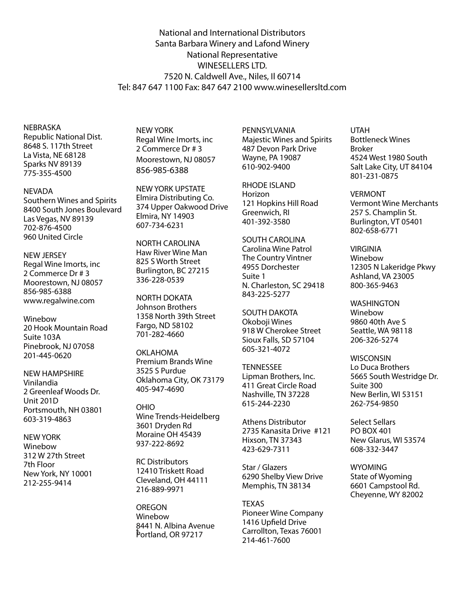National and International Distributors Santa Barbara Winery and Lafond Winery National Representative WINESELLERS LTD. 7520 N. Caldwell Ave., Niles, Il 60714 Tel: 847 647 1100 Fax: 847 647 2100 www.winesellersltd.com

NEBRASKA Republic National Dist. 8648 S. 117th Street La Vista, NE 68128 Sparks NV 89139 775-355-4500

#### **NEVADA**

Southern Wines and Spirits 8400 South Jones Boulevard Las Vegas, NV 89139 702-876-4500 960 United Circle

## NEW JERSEY

Regal Wine Imorts, inc 2 Commerce Dr # 3 Moorestown, NJ 08057 856-985-6388 www.regalwine.com

Winebow 20 Hook Mountain Road Suite 103A Pinebrook, NJ 07058 201-445-0620

NEW HAMPSHIRE Vinilandia 2 Greenleaf Woods Dr. Unit 201D Portsmouth, NH 03801 603-319-4863

NEW YORK Winebow 312 W 27th Street 7th Floor New York, NY 10001 212-255-9414

NEW YORK Regal Wine Imorts, inc 2 Commerce Dr # 3 Moorestown, NJ 08057 856-985-6388

NEW YORK UPSTATE Elmira Distributing Co. 374 Upper Oakwood Drive Elmira, NY 14903 607-734-6231

NORTH CAROLINA Haw River Wine Man 825 S Worth Street Burlington, BC 27215 336-228-0539

NORTH DOKATA Johnson Brothers 1358 North 39th Street Fargo, ND 58102 701-282-4660

OKLAHOMA Premium Brands Wine 3525 S Purdue Oklahoma City, OK 73179 405-947-4690

OHIO Wine Trends-Heidelberg 3601 Dryden Rd Moraine OH 45439 937-222-8692

RC Distributors 12410 Triskett Road Cleveland, OH 44111 216-889-9971

OREGON Winebow 8441 N. Albina Avenue permand, OR 97217

PENNSYLVANIA Majestic Wines and Spirits 487 Devon Park Drive Wayne, PA 19087 610-902-9400

RHODE ISLAND Horizon 121 Hopkins Hill Road Greenwich, RI 401-392-3580

SOUTH CAROLINA Carolina Wine Patrol The Country Vintner 4955 Dorchester Suite 1 N. Charleston, SC 29418 843-225-5277

SOUTH DAKOTA Okoboji Wines 918 W Cherokee Street Sioux Falls, SD 57104 605-321-4072

**TENNESSEE** Lipman Brothers, Inc. 411 Great Circle Road Nashville, TN 37228 615-244-2230

Athens Distributor 2735 Kanasita Drive #121 Hixson, TN 37343 423-629-7311

Star / Glazers 6290 Shelby View Drive Memphis, TN 38134

**TEXAS** Pioneer Wine Company 1416 Upfield Drive Carrollton, Texas 76001 214-461-7600

UTAH Bottleneck Wines Broker 4524 West 1980 South Salt Lake City, UT 84104 801-231-0875

VERMONT Vermont Wine Merchants 257 S. Champlin St. Burlington, VT 05401 802-658-6771

VIRGINIA Winebow 12305 N Lakeridge Pkwy Ashland, VA 23005 800-365-9463

**WASHINGTON** Winebow 9860 40th Ave S Seattle, WA 98118 206-326-5274

**WISCONSIN** Lo Duca Brothers 5665 South Westridge Dr. Suite 300 New Berlin, WI 53151 262-754-9850

Select Sellars PO BOX 401 New Glarus, WI 53574 608-332-3447

**WYOMING** State of Wyoming 6601 Campstool Rd. Cheyenne, WY 82002